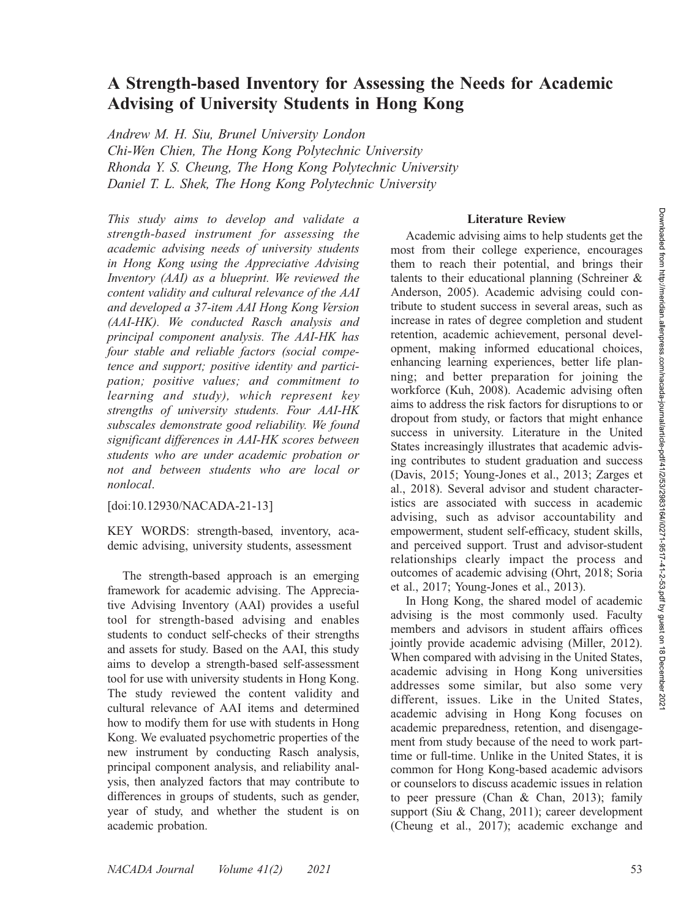# A Strength-based Inventory for Assessing the Needs for Academic Advising of University Students in Hong Kong

Andrew M. H. Siu, Brunel University London Chi-Wen Chien, The Hong Kong Polytechnic University Rhonda Y. S. Cheung, The Hong Kong Polytechnic University Daniel T. L. Shek, The Hong Kong Polytechnic University

This study aims to develop and validate a strength-based instrument for assessing the academic advising needs of university students in Hong Kong using the Appreciative Advising Inventory (AAI) as a blueprint. We reviewed the content validity and cultural relevance of the AAI and developed a 37-item AAI Hong Kong Version (AAI-HK). We conducted Rasch analysis and principal component analysis. The AAI-HK has four stable and reliable factors (social competence and support; positive identity and participation; positive values; and commitment to learning and study), which represent key strengths of university students. Four AAI-HK subscales demonstrate good reliability. We found significant differences in AAI-HK scores between students who are under academic probation or not and between students who are local or nonlocal.

[doi:10.12930/NACADA-21-13]

KEY WORDS: strength-based, inventory, academic advising, university students, assessment

The strength-based approach is an emerging framework for academic advising. The Appreciative Advising Inventory (AAI) provides a useful tool for strength-based advising and enables students to conduct self-checks of their strengths and assets for study. Based on the AAI, this study aims to develop a strength-based self-assessment tool for use with university students in Hong Kong. The study reviewed the content validity and cultural relevance of AAI items and determined how to modify them for use with students in Hong Kong. We evaluated psychometric properties of the new instrument by conducting Rasch analysis, principal component analysis, and reliability analysis, then analyzed factors that may contribute to differences in groups of students, such as gender, year of study, and whether the student is on academic probation.

#### Literature Review

Academic advising aims to help students get the most from their college experience, encourages them to reach their potential, and brings their talents to their educational planning (Schreiner & Anderson, 2005). Academic advising could contribute to student success in several areas, such as increase in rates of degree completion and student retention, academic achievement, personal development, making informed educational choices, enhancing learning experiences, better life planning; and better preparation for joining the workforce (Kuh, 2008). Academic advising often aims to address the risk factors for disruptions to or dropout from study, or factors that might enhance success in university. Literature in the United States increasingly illustrates that academic advising contributes to student graduation and success (Davis, 2015; Young-Jones et al., 2013; Zarges et al., 2018). Several advisor and student characteristics are associated with success in academic advising, such as advisor accountability and empowerment, student self-efficacy, student skills, and perceived support. Trust and advisor-student relationships clearly impact the process and outcomes of academic advising (Ohrt, 2018; Soria et al., 2017; Young-Jones et al., 2013).

In Hong Kong, the shared model of academic advising is the most commonly used. Faculty members and advisors in student affairs offices jointly provide academic advising (Miller, 2012). When compared with advising in the United States, academic advising in Hong Kong universities addresses some similar, but also some very different, issues. Like in the United States, academic advising in Hong Kong focuses on academic preparedness, retention, and disengagement from study because of the need to work parttime or full-time. Unlike in the United States, it is common for Hong Kong-based academic advisors or counselors to discuss academic issues in relation to peer pressure (Chan & Chan, 2013); family support (Siu & Chang, 2011); career development (Cheung et al., 2017); academic exchange and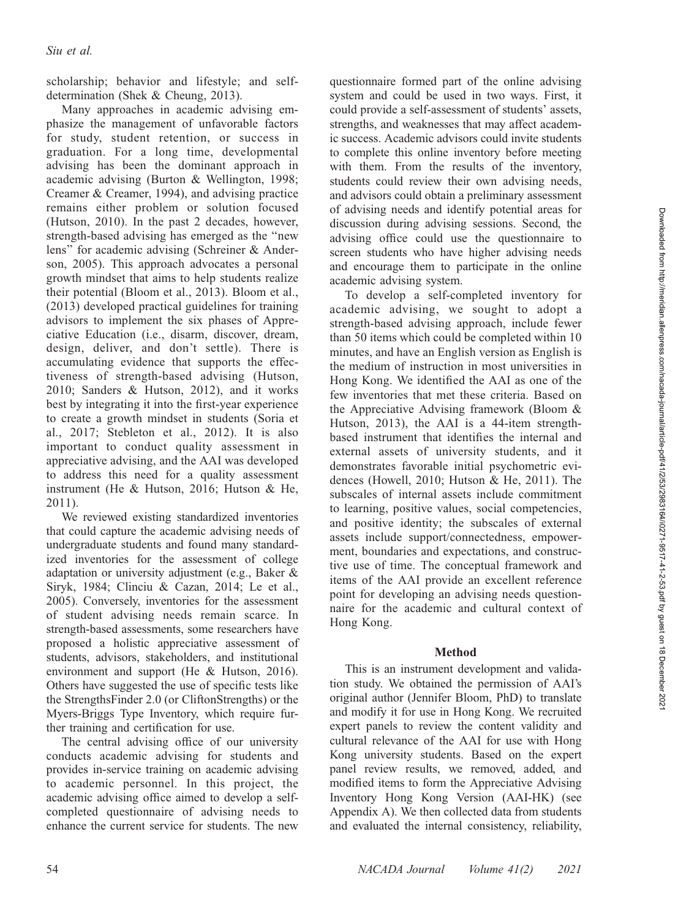scholarship; behavior and lifestyle; and selfdetermination (Shek & Cheung, 2013).

Many approaches in academic advising emphasize the management of unfavorable factors for study, student retention, or success in graduation. For a long time, developmental advising has been the dominant approach in academic advising (Burton & Wellington, 1998; Creamer & Creamer, 1994), and advising practice remains either problem or solution focused (Hutson, 2010). In the past 2 decades, however, strength-based advising has emerged as the ''new lens'' for academic advising (Schreiner & Anderson, 2005). This approach advocates a personal growth mindset that aims to help students realize their potential (Bloom et al., 2013). Bloom et al., (2013) developed practical guidelines for training advisors to implement the six phases of Appreciative Education (i.e., disarm, discover, dream, design, deliver, and don't settle). There is accumulating evidence that supports the effectiveness of strength-based advising (Hutson, 2010; Sanders & Hutson, 2012), and it works best by integrating it into the first-year experience to create a growth mindset in students (Soria et al., 2017; Stebleton et al., 2012). It is also important to conduct quality assessment in appreciative advising, and the AAI was developed to address this need for a quality assessment instrument (He & Hutson, 2016; Hutson & He, 2011).

We reviewed existing standardized inventories that could capture the academic advising needs of undergraduate students and found many standardized inventories for the assessment of college adaptation or university adjustment (e.g., Baker & Siryk, 1984; Clinciu & Cazan, 2014; Le et al., 2005). Conversely, inventories for the assessment of student advising needs remain scarce. In strength-based assessments, some researchers have proposed a holistic appreciative assessment of students, advisors, stakeholders, and institutional environment and support (He & Hutson, 2016). Others have suggested the use of specific tests like the StrengthsFinder 2.0 (or CliftonStrengths) or the Myers-Briggs Type Inventory, which require further training and certification for use.

The central advising office of our university conducts academic advising for students and provides in-service training on academic advising to academic personnel. In this project, the academic advising office aimed to develop a selfcompleted questionnaire of advising needs to enhance the current service for students. The new

questionnaire formed part of the online advising system and could be used in two ways. First, it could provide a self-assessment of students' assets, strengths, and weaknesses that may affect academic success. Academic advisors could invite students to complete this online inventory before meeting with them. From the results of the inventory, students could review their own advising needs, and advisors could obtain a preliminary assessment of advising needs and identify potential areas for discussion during advising sessions. Second, the advising office could use the questionnaire to screen students who have higher advising needs and encourage them to participate in the online academic advising system.

To develop a self-completed inventory for academic advising, we sought to adopt a strength-based advising approach, include fewer than 50 items which could be completed within 10 minutes, and have an English version as English is the medium of instruction in most universities in Hong Kong. We identified the AAI as one of the few inventories that met these criteria. Based on the Appreciative Advising framework (Bloom & Hutson, 2013), the AAI is a 44-item strengthbased instrument that identifies the internal and external assets of university students, and it demonstrates favorable initial psychometric evidences (Howell, 2010; Hutson & He, 2011). The subscales of internal assets include commitment to learning, positive values, social competencies, and positive identity; the subscales of external assets include support/connectedness, empowerment, boundaries and expectations, and constructive use of time. The conceptual framework and items of the AAI provide an excellent reference point for developing an advising needs questionnaire for the academic and cultural context of Hong Kong.

### Method

This is an instrument development and validation study. We obtained the permission of AAI's original author (Jennifer Bloom, PhD) to translate and modify it for use in Hong Kong. We recruited expert panels to review the content validity and cultural relevance of the AAI for use with Hong Kong university students. Based on the expert panel review results, we removed, added, and modified items to form the Appreciative Advising Inventory Hong Kong Version (AAI-HK) (see Appendix A). We then collected data from students and evaluated the internal consistency, reliability,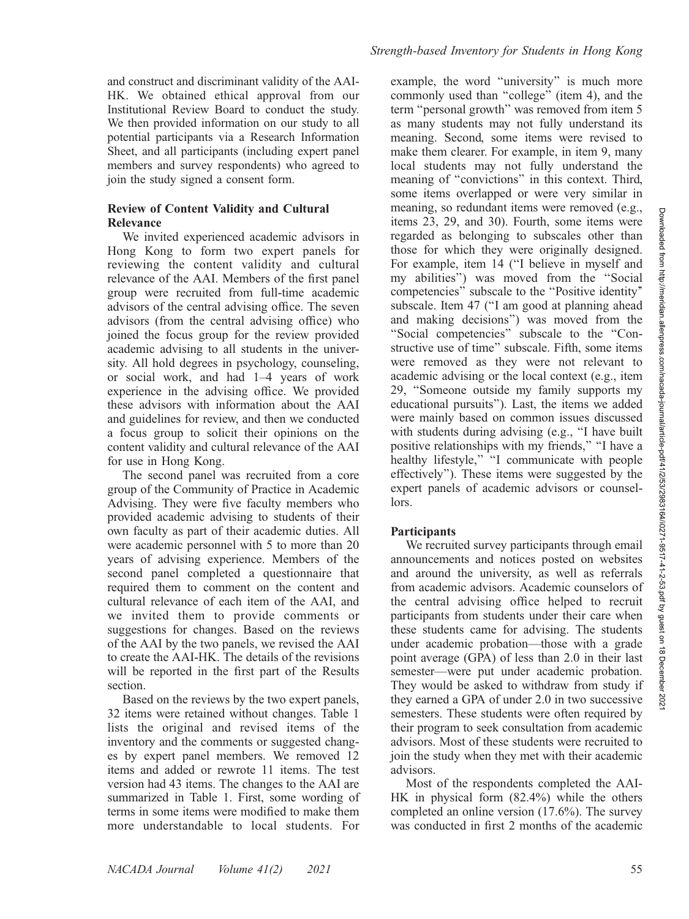and construct and discriminant validity of the AAI-HK. We obtained ethical approval from our Institutional Review Board to conduct the study. We then provided information on our study to all potential participants via a Research Information Sheet, and all participants (including expert panel members and survey respondents) who agreed to join the study signed a consent form.

### Review of Content Validity and Cultural Relevance

We invited experienced academic advisors in Hong Kong to form two expert panels for reviewing the content validity and cultural relevance of the AAI. Members of the first panel group were recruited from full-time academic advisors of the central advising office. The seven advisors (from the central advising office) who joined the focus group for the review provided academic advising to all students in the university. All hold degrees in psychology, counseling, or social work, and had 1–4 years of work experience in the advising office. We provided these advisors with information about the AAI and guidelines for review, and then we conducted a focus group to solicit their opinions on the content validity and cultural relevance of the AAI for use in Hong Kong.

The second panel was recruited from a core group of the Community of Practice in Academic Advising. They were five faculty members who provided academic advising to students of their own faculty as part of their academic duties. All were academic personnel with 5 to more than 20 years of advising experience. Members of the second panel completed a questionnaire that required them to comment on the content and cultural relevance of each item of the AAI, and we invited them to provide comments or suggestions for changes. Based on the reviews of the AAI by the two panels, we revised the AAI to create the AAI-HK. The details of the revisions will be reported in the first part of the Results section.

Based on the reviews by the two expert panels, 32 items were retained without changes. Table 1 lists the original and revised items of the inventory and the comments or suggested changes by expert panel members. We removed 12 items and added or rewrote 11 items. The test version had 43 items. The changes to the AAI are summarized in Table 1. First, some wording of terms in some items were modified to make them more understandable to local students. For

example, the word ''university'' is much more commonly used than ''college'' (item 4), and the term ''personal growth'' was removed from item 5 as many students may not fully understand its meaning. Second, some items were revised to make them clearer. For example, in item 9, many local students may not fully understand the meaning of ''convictions'' in this context. Third, some items overlapped or were very similar in meaning, so redundant items were removed (e.g., items 23, 29, and 30). Fourth, some items were regarded as belonging to subscales other than those for which they were originally designed. For example, item 14 (''I believe in myself and my abilities'') was moved from the ''Social competencies'' subscale to the ''Positive identity'' subscale. Item 47 (''I am good at planning ahead and making decisions'') was moved from the ''Social competencies'' subscale to the ''Constructive use of time'' subscale. Fifth, some items were removed as they were not relevant to academic advising or the local context (e.g., item 29, ''Someone outside my family supports my educational pursuits''). Last, the items we added were mainly based on common issues discussed with students during advising (e.g., "I have built positive relationships with my friends,'' ''I have a healthy lifestyle," "I communicate with people effectively''). These items were suggested by the expert panels of academic advisors or counsellors.

### **Participants**

We recruited survey participants through email announcements and notices posted on websites and around the university, as well as referrals from academic advisors. Academic counselors of the central advising office helped to recruit participants from students under their care when these students came for advising. The students under academic probation—those with a grade point average (GPA) of less than 2.0 in their last semester—were put under academic probation. They would be asked to withdraw from study if they earned a GPA of under 2.0 in two successive semesters. These students were often required by their program to seek consultation from academic advisors. Most of these students were recruited to join the study when they met with their academic advisors.

Most of the respondents completed the AAI-HK in physical form (82.4%) while the others completed an online version (17.6%). The survey was conducted in first 2 months of the academic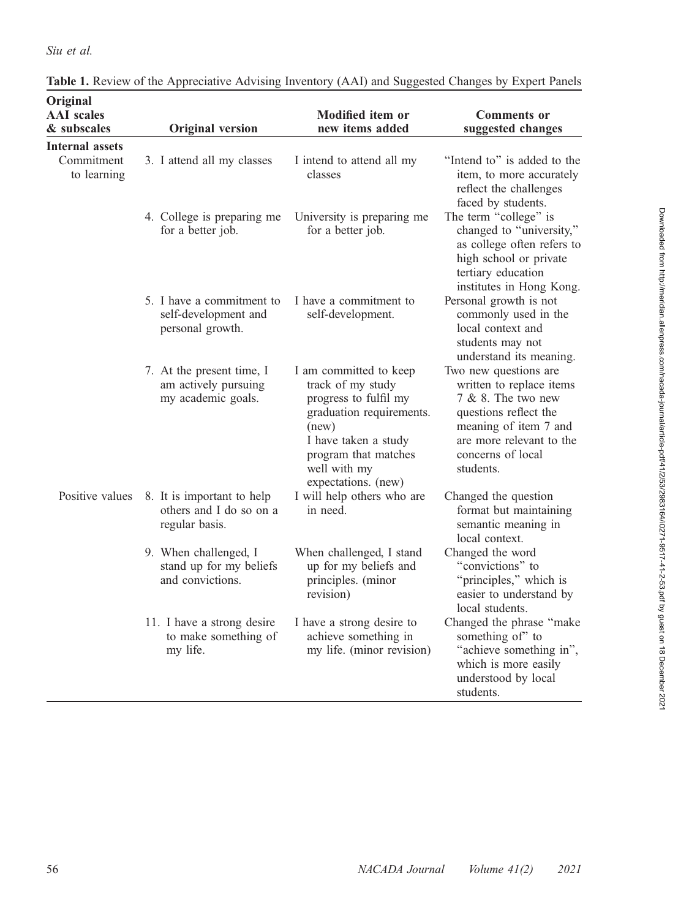# Siu et al.

| Original                         |                                                                         |                                                                                                                                                                                                  |                                                                                                                                                                                         |
|----------------------------------|-------------------------------------------------------------------------|--------------------------------------------------------------------------------------------------------------------------------------------------------------------------------------------------|-----------------------------------------------------------------------------------------------------------------------------------------------------------------------------------------|
| <b>AAI</b> scales<br>& subscales | <b>Original version</b>                                                 | <b>Modified item or</b><br>new items added                                                                                                                                                       | <b>Comments or</b><br>suggested changes                                                                                                                                                 |
| <b>Internal assets</b>           |                                                                         |                                                                                                                                                                                                  |                                                                                                                                                                                         |
| Commitment<br>to learning        | 3. I attend all my classes                                              | I intend to attend all my<br>classes                                                                                                                                                             | "Intend to" is added to the<br>item, to more accurately<br>reflect the challenges<br>faced by students.                                                                                 |
|                                  | 4. College is preparing me<br>for a better job.                         | University is preparing me<br>for a better job.                                                                                                                                                  | The term "college" is<br>changed to "university,"<br>as college often refers to<br>high school or private<br>tertiary education<br>institutes in Hong Kong.                             |
|                                  | 5. I have a commitment to<br>self-development and<br>personal growth.   | I have a commitment to<br>self-development.                                                                                                                                                      | Personal growth is not<br>commonly used in the<br>local context and<br>students may not<br>understand its meaning.                                                                      |
|                                  | 7. At the present time, I<br>am actively pursuing<br>my academic goals. | I am committed to keep<br>track of my study<br>progress to fulfil my<br>graduation requirements.<br>(new)<br>I have taken a study<br>program that matches<br>well with my<br>expectations. (new) | Two new questions are<br>written to replace items<br>7 & 8. The two new<br>questions reflect the<br>meaning of item 7 and<br>are more relevant to the<br>concerns of local<br>students. |
| Positive values                  | 8. It is important to help<br>others and I do so on a<br>regular basis. | I will help others who are<br>in need.                                                                                                                                                           | Changed the question<br>format but maintaining<br>semantic meaning in<br>local context.                                                                                                 |
|                                  | 9. When challenged, I<br>stand up for my beliefs<br>and convictions.    | When challenged, I stand<br>up for my beliefs and<br>principles. (minor<br>revision)                                                                                                             | Changed the word<br>"convictions" to<br>"principles," which is<br>easier to understand by<br>local students.                                                                            |
|                                  | 11. I have a strong desire<br>to make something of<br>my life.          | I have a strong desire to<br>achieve something in<br>my life. (minor revision)                                                                                                                   | Changed the phrase "make<br>something of" to<br>"achieve something in",<br>which is more easily<br>understood by local<br>students.                                                     |

| Table 1. Review of the Appreciative Advising Inventory (AAI) and Suggested Changes by Expert Panels |  |  |  |  |
|-----------------------------------------------------------------------------------------------------|--|--|--|--|
|-----------------------------------------------------------------------------------------------------|--|--|--|--|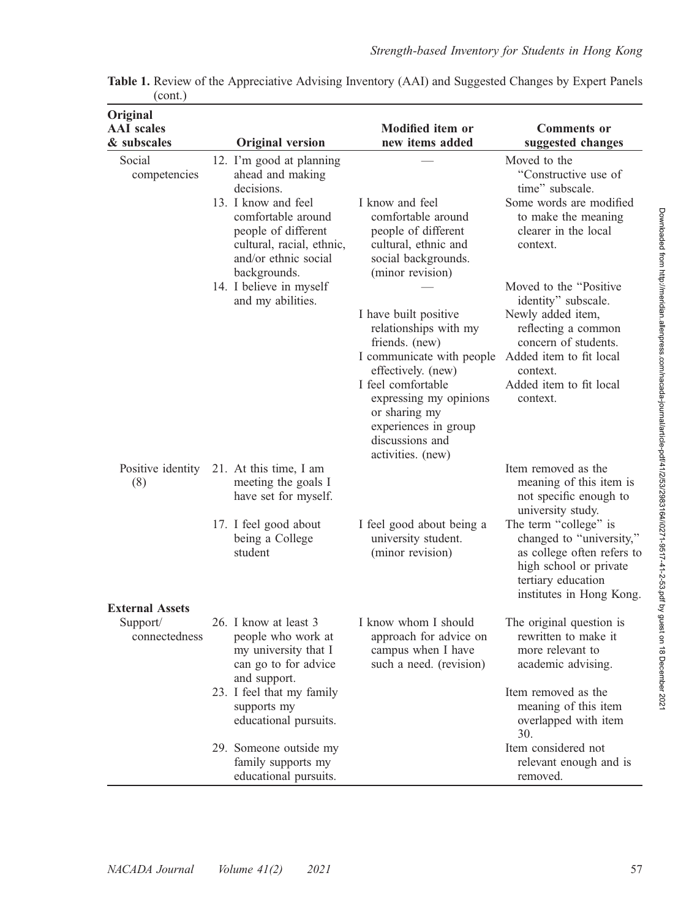| Original                         |                                                                                                                                                                                     |                                                                                                                                                                                                                                                      |                                                                                                                                                             |
|----------------------------------|-------------------------------------------------------------------------------------------------------------------------------------------------------------------------------------|------------------------------------------------------------------------------------------------------------------------------------------------------------------------------------------------------------------------------------------------------|-------------------------------------------------------------------------------------------------------------------------------------------------------------|
| <b>AAI</b> scales<br>& subscales | <b>Original version</b>                                                                                                                                                             | <b>Modified item or</b><br>new items added                                                                                                                                                                                                           | <b>Comments or</b><br>suggested changes                                                                                                                     |
| Social<br>competencies           | 12. I'm good at planning<br>ahead and making<br>decisions.<br>13. I know and feel<br>comfortable around<br>people of different<br>cultural, racial, ethnic,<br>and/or ethnic social | I know and feel<br>comfortable around<br>people of different<br>cultural, ethnic and<br>social backgrounds.                                                                                                                                          | Moved to the<br>"Constructive use of<br>time" subscale.<br>Some words are modified<br>to make the meaning<br>clearer in the local<br>context.               |
|                                  | backgrounds.<br>14. I believe in myself<br>and my abilities.                                                                                                                        | (minor revision)                                                                                                                                                                                                                                     | Moved to the "Positive"<br>identity" subscale.                                                                                                              |
|                                  |                                                                                                                                                                                     | I have built positive<br>relationships with my<br>friends. (new)<br>I communicate with people<br>effectively. (new)<br>I feel comfortable<br>expressing my opinions<br>or sharing my<br>experiences in group<br>discussions and<br>activities. (new) | Newly added item,<br>reflecting a common<br>concern of students.<br>Added item to fit local<br>context.<br>Added item to fit local<br>context.              |
| Positive identity<br>(8)         | 21. At this time, I am<br>meeting the goals I<br>have set for myself.                                                                                                               |                                                                                                                                                                                                                                                      | Item removed as the<br>meaning of this item is<br>not specific enough to<br>university study.                                                               |
|                                  | 17. I feel good about<br>being a College<br>student                                                                                                                                 | I feel good about being a<br>university student.<br>(minor revision)                                                                                                                                                                                 | The term "college" is<br>changed to "university,"<br>as college often refers to<br>high school or private<br>tertiary education<br>institutes in Hong Kong. |
| <b>External Assets</b>           |                                                                                                                                                                                     |                                                                                                                                                                                                                                                      |                                                                                                                                                             |
| Support/<br>connectedness        | 26. I know at least 3<br>people who work at<br>my university that I<br>can go to for advice<br>and support.                                                                         | I know whom I should<br>approach for advice on<br>campus when I have<br>such a need. (revision)                                                                                                                                                      | The original question is<br>rewritten to make it<br>more relevant to<br>academic advising.                                                                  |
|                                  | 23. I feel that my family<br>supports my<br>educational pursuits.                                                                                                                   |                                                                                                                                                                                                                                                      | Item removed as the<br>meaning of this item<br>overlapped with item<br>30.                                                                                  |
|                                  | 29. Someone outside my<br>family supports my<br>educational pursuits.                                                                                                               |                                                                                                                                                                                                                                                      | Item considered not<br>relevant enough and is<br>removed.                                                                                                   |

| Table 1. Review of the Appreciative Advising Inventory (AAI) and Suggested Changes by Expert Panels |  |  |  |  |  |
|-----------------------------------------------------------------------------------------------------|--|--|--|--|--|
| (cont.)                                                                                             |  |  |  |  |  |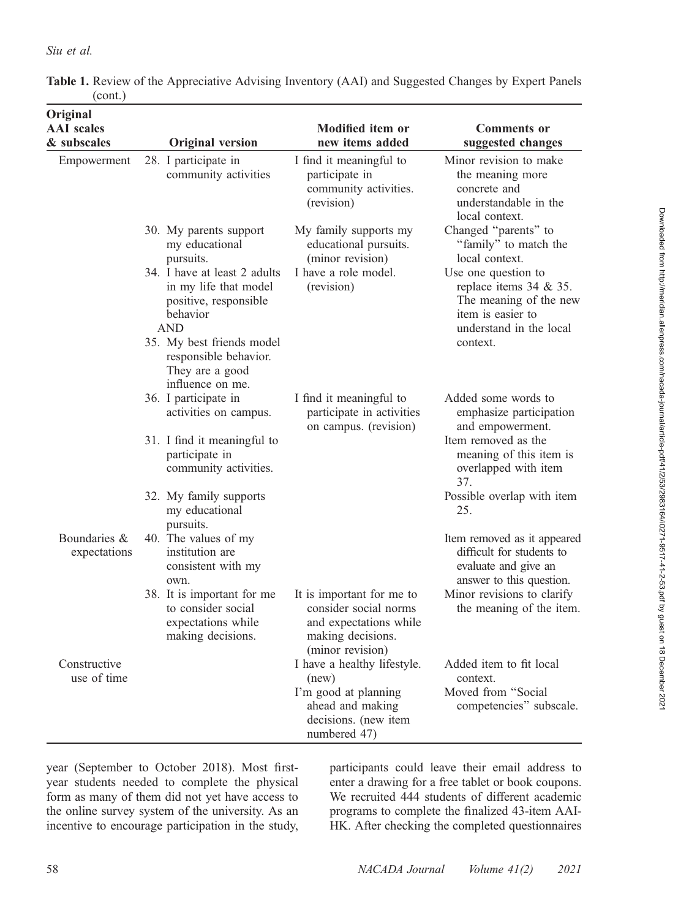| Original<br><b>AAI</b> scales<br>& subscales | <b>Original version</b>                                                                                                               | <b>Modified item or</b><br>new items added                                                                            | <b>Comments or</b><br>suggested changes                                                                                             |
|----------------------------------------------|---------------------------------------------------------------------------------------------------------------------------------------|-----------------------------------------------------------------------------------------------------------------------|-------------------------------------------------------------------------------------------------------------------------------------|
| Empowerment                                  | 28. I participate in<br>community activities                                                                                          | I find it meaningful to<br>participate in<br>community activities.<br>(revision)                                      | Minor revision to make<br>the meaning more<br>concrete and<br>understandable in the<br>local context.                               |
|                                              | 30. My parents support<br>my educational<br>pursuits.                                                                                 | My family supports my<br>educational pursuits.<br>(minor revision)                                                    | Changed "parents" to<br>"family" to match the<br>local context.                                                                     |
|                                              | 34. I have at least 2 adults<br>in my life that model<br>positive, responsible<br>behavior<br><b>AND</b><br>35. My best friends model | I have a role model.<br>(revision)                                                                                    | Use one question to<br>replace items 34 & 35.<br>The meaning of the new<br>item is easier to<br>understand in the local<br>context. |
|                                              | responsible behavior.<br>They are a good<br>influence on me.                                                                          |                                                                                                                       |                                                                                                                                     |
|                                              | 36. I participate in<br>activities on campus.                                                                                         | I find it meaningful to<br>participate in activities<br>on campus. (revision)                                         | Added some words to<br>emphasize participation<br>and empowerment.                                                                  |
|                                              | 31. I find it meaningful to<br>participate in<br>community activities.                                                                |                                                                                                                       | Item removed as the<br>meaning of this item is<br>overlapped with item<br>37.                                                       |
|                                              | 32. My family supports<br>my educational<br>pursuits.                                                                                 |                                                                                                                       | Possible overlap with item<br>25.                                                                                                   |
| Boundaries &<br>expectations                 | 40. The values of my<br>institution are<br>consistent with my<br>own.                                                                 |                                                                                                                       | Item removed as it appeared<br>difficult for students to<br>evaluate and give an<br>answer to this question.                        |
|                                              | 38. It is important for me<br>to consider social<br>expectations while<br>making decisions.                                           | It is important for me to<br>consider social norms<br>and expectations while<br>making decisions.<br>(minor revision) | Minor revisions to clarify<br>the meaning of the item.                                                                              |
| Constructive<br>use of time                  |                                                                                                                                       | I have a healthy lifestyle.<br>(new)                                                                                  | Added item to fit local<br>context.                                                                                                 |
|                                              |                                                                                                                                       | I'm good at planning<br>ahead and making<br>decisions. (new item<br>numbered 47)                                      | Moved from "Social<br>competencies" subscale.                                                                                       |

Table 1. Review of the Appreciative Advising Inventory (AAI) and Suggested Changes by Expert Panels (cont.)

year (September to October 2018). Most firstyear students needed to complete the physical form as many of them did not yet have access to the online survey system of the university. As an incentive to encourage participation in the study,

participants could leave their email address to enter a drawing for a free tablet or book coupons. We recruited 444 students of different academic programs to complete the finalized 43-item AAI-HK. After checking the completed questionnaires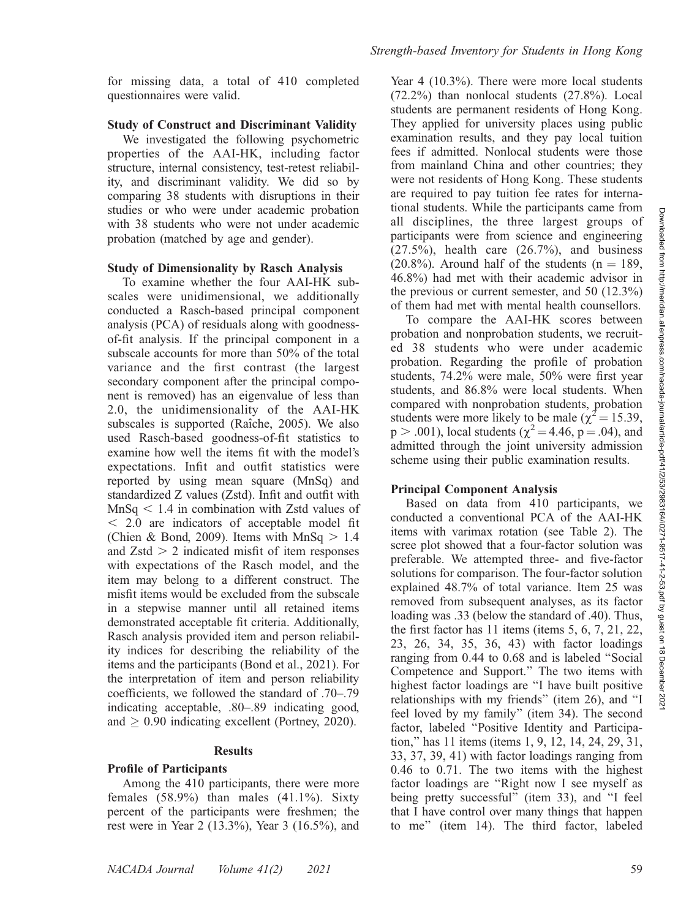for missing data, a total of 410 completed questionnaires were valid.

### Study of Construct and Discriminant Validity

We investigated the following psychometric properties of the AAI-HK, including factor structure, internal consistency, test-retest reliability, and discriminant validity. We did so by comparing 38 students with disruptions in their studies or who were under academic probation with 38 students who were not under academic probation (matched by age and gender).

### Study of Dimensionality by Rasch Analysis

To examine whether the four AAI-HK subscales were unidimensional, we additionally conducted a Rasch-based principal component analysis (PCA) of residuals along with goodnessof-fit analysis. If the principal component in a subscale accounts for more than 50% of the total variance and the first contrast (the largest secondary component after the principal component is removed) has an eigenvalue of less than 2.0, the unidimensionality of the AAI-HK subscales is supported (Raîche, 2005). We also used Rasch-based goodness-of-fit statistics to examine how well the items fit with the model's expectations. Infit and outfit statistics were reported by using mean square (MnSq) and standardized Z values (Zstd). Infit and outfit with  $MnSa < 1.4$  in combination with Zstd values of  $<$  2.0 are indicators of acceptable model fit (Chien & Bond, 2009). Items with  $MnSq > 1.4$ and  $Zstd > 2$  indicated misfit of item responses with expectations of the Rasch model, and the item may belong to a different construct. The misfit items would be excluded from the subscale in a stepwise manner until all retained items demonstrated acceptable fit criteria. Additionally, Rasch analysis provided item and person reliability indices for describing the reliability of the items and the participants (Bond et al., 2021). For the interpretation of item and person reliability coefficients, we followed the standard of .70–.79 indicating acceptable, .80–.89 indicating good, and  $\geq$  0.90 indicating excellent (Portney, 2020).

### Results

### Profile of Participants

Among the 410 participants, there were more females  $(58.9\%)$  than males  $(41.1\%)$ . Sixty percent of the participants were freshmen; the rest were in Year 2 (13.3%), Year 3 (16.5%), and

Year 4 (10.3%). There were more local students (72.2%) than nonlocal students (27.8%). Local students are permanent residents of Hong Kong. They applied for university places using public examination results, and they pay local tuition fees if admitted. Nonlocal students were those from mainland China and other countries; they were not residents of Hong Kong. These students are required to pay tuition fee rates for international students. While the participants came from all disciplines, the three largest groups of participants were from science and engineering  $(27.5\%)$ , health care  $(26.7\%)$ , and business  $(20.8\%)$ . Around half of the students  $(n = 189, ...)$ 46.8%) had met with their academic advisor in the previous or current semester, and 50 (12.3%) of them had met with mental health counsellors.

To compare the AAI-HK scores between probation and nonprobation students, we recruited 38 students who were under academic probation. Regarding the profile of probation students, 74.2% were male, 50% were first year students, and 86.8% were local students. When compared with nonprobation students, probation students were more likely to be male ( $\chi^2$  = 15.39,  $p > .001$ ), local students ( $\chi^2 = 4.46$ ,  $p = .04$ ), and admitted through the joint university admission scheme using their public examination results.

## Principal Component Analysis

Based on data from 410 participants, we conducted a conventional PCA of the AAI-HK items with varimax rotation (see Table 2). The scree plot showed that a four-factor solution was preferable. We attempted three- and five-factor solutions for comparison. The four-factor solution explained 48.7% of total variance. Item 25 was removed from subsequent analyses, as its factor loading was .33 (below the standard of .40). Thus, the first factor has 11 items (items 5, 6, 7, 21, 22, 23, 26, 34, 35, 36, 43) with factor loadings ranging from 0.44 to 0.68 and is labeled ''Social Competence and Support.'' The two items with highest factor loadings are ''I have built positive relationships with my friends'' (item 26), and ''I feel loved by my family'' (item 34). The second factor, labeled ''Positive Identity and Participation,'' has 11 items (items 1, 9, 12, 14, 24, 29, 31, 33, 37, 39, 41) with factor loadings ranging from 0.46 to 0.71. The two items with the highest factor loadings are ''Right now I see myself as being pretty successful'' (item 33), and ''I feel that I have control over many things that happen to me'' (item 14). The third factor, labeled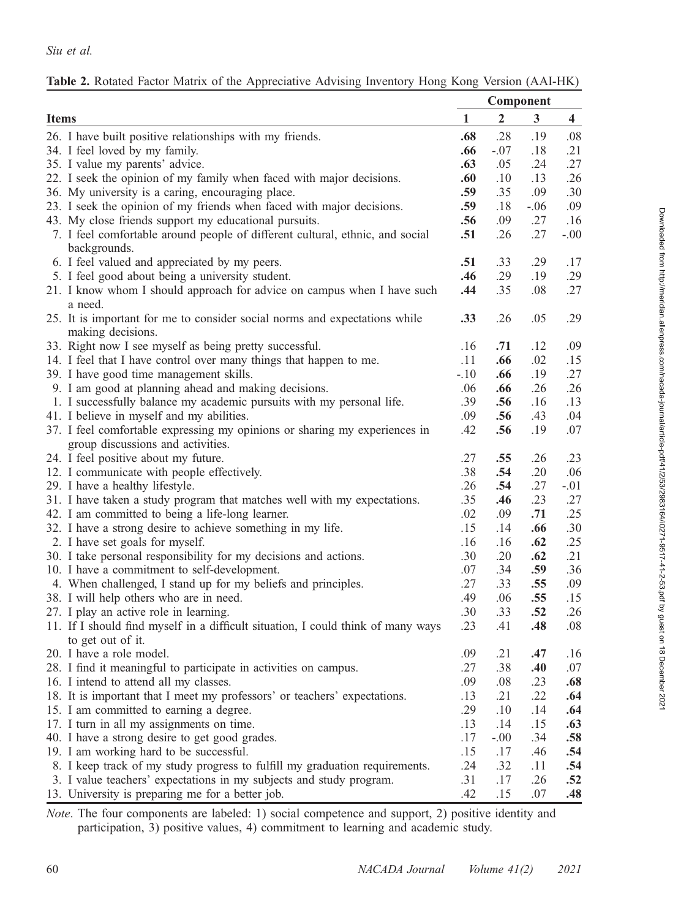|                                                                                  |        | Component        |        |                         |
|----------------------------------------------------------------------------------|--------|------------------|--------|-------------------------|
| <b>Items</b>                                                                     | 1      | $\boldsymbol{2}$ | 3      | $\overline{\mathbf{4}}$ |
| 26. I have built positive relationships with my friends.                         | .68    | .28              | .19    | .08                     |
| 34. I feel loved by my family.                                                   | .66    | $-.07$           | .18    | .21                     |
| 35. I value my parents' advice.                                                  | .63    | .05              | .24    | .27                     |
| 22. I seek the opinion of my family when faced with major decisions.             | .60    | .10              | .13    | .26                     |
| 36. My university is a caring, encouraging place.                                | .59    | .35              | .09    | .30                     |
| 23. I seek the opinion of my friends when faced with major decisions.            | .59    | .18              | $-.06$ | .09                     |
| 43. My close friends support my educational pursuits.                            | .56    | .09              | .27    | .16                     |
| 7. I feel comfortable around people of different cultural, ethnic, and social    | .51    | .26              | .27    | $-.00$                  |
| backgrounds.                                                                     |        |                  |        |                         |
| 6. I feel valued and appreciated by my peers.                                    | .51    | .33              | .29    | .17                     |
| 5. I feel good about being a university student.                                 | .46    | .29              | .19    | .29                     |
| 21. I know whom I should approach for advice on campus when I have such          | .44    | .35              | .08    | .27                     |
| a need.                                                                          |        |                  |        |                         |
| 25. It is important for me to consider social norms and expectations while       | .33    | .26              | .05    | .29                     |
| making decisions.                                                                |        |                  |        |                         |
| 33. Right now I see myself as being pretty successful.                           | .16    | .71              | .12    | .09                     |
| 14. I feel that I have control over many things that happen to me.               | .11    | .66              | .02    | .15                     |
| 39. I have good time management skills.                                          | $-.10$ | .66              | .19    | .27                     |
| 9. I am good at planning ahead and making decisions.                             | .06    | .66              | .26    | .26                     |
| 1. I successfully balance my academic pursuits with my personal life.            | .39    | .56              | .16    | .13                     |
| 41. I believe in myself and my abilities.                                        | .09    | .56              | .43    | .04                     |
| 37. I feel comfortable expressing my opinions or sharing my experiences in       | .42    | .56              | .19    | .07                     |
| group discussions and activities.                                                |        |                  |        |                         |
| 24. I feel positive about my future.                                             | .27    | .55              | .26    | .23                     |
| 12. I communicate with people effectively.                                       | .38    | .54              | .20    | .06                     |
| 29. I have a healthy lifestyle.                                                  | .26    | .54              | .27    | $-.01$                  |
| 31. I have taken a study program that matches well with my expectations.         | .35    | .46              | .23    | .27                     |
| 42. I am committed to being a life-long learner.                                 | .02    | .09              | .71    | .25                     |
| 32. I have a strong desire to achieve something in my life.                      | .15    | .14              | .66    | .30                     |
| 2. I have set goals for myself.                                                  | .16    | .16              | .62    | .25                     |
| 30. I take personal responsibility for my decisions and actions.                 | .30    | .20              | .62    | .21                     |
| 10. I have a commitment to self-development.                                     | .07    | .34              | .59    | .36                     |
| 4. When challenged, I stand up for my beliefs and principles.                    | .27    | .33              | .55    | .09                     |
| 38. I will help others who are in need.                                          | .49    | .06              | .55    | .15                     |
| 27. I play an active role in learning.                                           | .30    | .33              | .52    | .26                     |
| 11. If I should find myself in a difficult situation, I could think of many ways | .23    | .41              | .48    | .08                     |
| to get out of it.                                                                |        |                  |        |                         |
| 20. I have a role model.                                                         | .09    | .21              | .47    | .16                     |
| 28. I find it meaningful to participate in activities on campus.                 | .27    | .38              | .40    | .07                     |
| 16. I intend to attend all my classes.                                           | .09    | .08              | .23    | .68                     |
| 18. It is important that I meet my professors' or teachers' expectations.        | .13    | .21              | .22    | .64                     |
| 15. I am committed to earning a degree.                                          | .29    | .10              | .14    | .64                     |
| 17. I turn in all my assignments on time.                                        | .13    | .14              | .15    | .63                     |
| 40. I have a strong desire to get good grades.                                   | .17    | $-.00$           | .34    | .58                     |
| 19. I am working hard to be successful.                                          | .15    | $.17\,$          | .46    | .54                     |
| 8. I keep track of my study progress to fulfill my graduation requirements.      | .24    | .32              | .11    | .54                     |
| 3. I value teachers' expectations in my subjects and study program.              | .31    | .17              | .26    | .52                     |
| 13. University is preparing me for a better job.                                 | .42    | .15              | .07    | .48                     |

| Table 2. Rotated Factor Matrix of the Appreciative Advising Inventory Hong Kong Version (AAI-HK) |  |  |  |  |
|--------------------------------------------------------------------------------------------------|--|--|--|--|
|--------------------------------------------------------------------------------------------------|--|--|--|--|

Note. The four components are labeled: 1) social competence and support, 2) positive identity and participation, 3) positive values, 4) commitment to learning and academic study.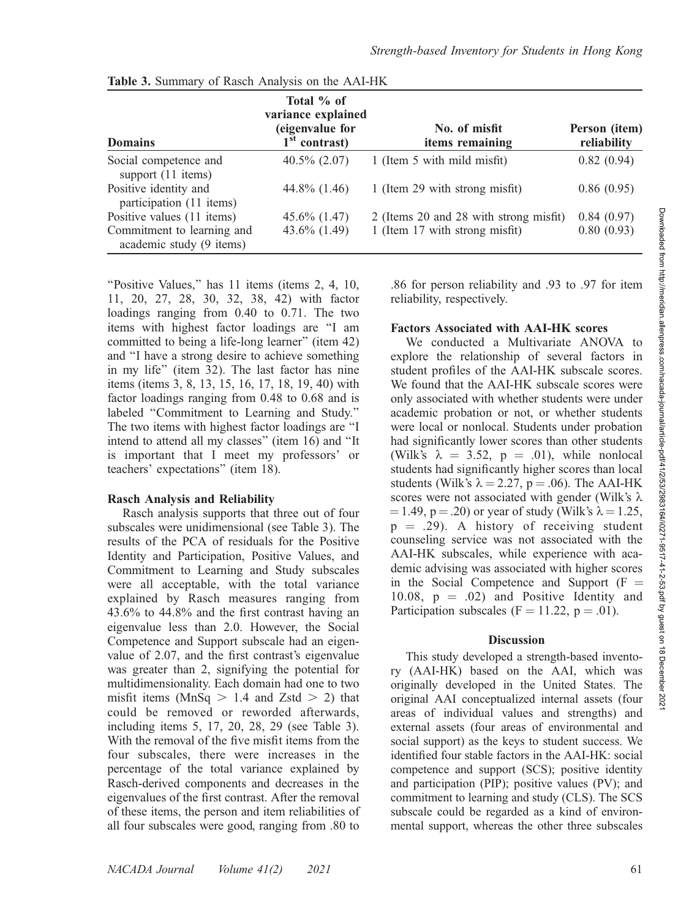| <b>Domains</b>                                         | Total % of<br>variance explained<br>(eigenvalue for<br>$1st$ contrast) | No. of misfit<br><i>items</i> remaining | Person (item)<br>reliability |
|--------------------------------------------------------|------------------------------------------------------------------------|-----------------------------------------|------------------------------|
| Social competence and<br>support (11 items)            | $40.5\%$ $(2.07)$                                                      | 1 (Item 5 with mild misfit)             | 0.82(0.94)                   |
| Positive identity and<br>participation (11 items)      | 44.8% (1.46)                                                           | 1 (Item 29 with strong misfit)          | 0.86(0.95)                   |
| Positive values (11 items)                             | $45.6\%$ (1.47)                                                        | 2 (Items 20 and 28 with strong misfit)  | 0.84(0.97)                   |
| Commitment to learning and<br>academic study (9 items) | 43.6% $(1.49)$                                                         | 1 (Item 17 with strong misfit)          | 0.80(0.93)                   |

|  | Table 3. Summary of Rasch Analysis on the AAI-HK |  |  |  |  |
|--|--------------------------------------------------|--|--|--|--|
|--|--------------------------------------------------|--|--|--|--|

''Positive Values,'' has 11 items (items 2, 4, 10, 11, 20, 27, 28, 30, 32, 38, 42) with factor loadings ranging from 0.40 to 0.71. The two items with highest factor loadings are ''I am committed to being a life-long learner'' (item 42) and ''I have a strong desire to achieve something in my life'' (item 32). The last factor has nine items (items 3, 8, 13, 15, 16, 17, 18, 19, 40) with factor loadings ranging from 0.48 to 0.68 and is labeled ''Commitment to Learning and Study.'' The two items with highest factor loadings are ''I intend to attend all my classes'' (item 16) and ''It is important that I meet my professors' or teachers' expectations'' (item 18).

### Rasch Analysis and Reliability

Rasch analysis supports that three out of four subscales were unidimensional (see Table 3). The results of the PCA of residuals for the Positive Identity and Participation, Positive Values, and Commitment to Learning and Study subscales were all acceptable, with the total variance explained by Rasch measures ranging from 43.6% to 44.8% and the first contrast having an eigenvalue less than 2.0. However, the Social Competence and Support subscale had an eigenvalue of 2.07, and the first contrast's eigenvalue was greater than 2, signifying the potential for multidimensionality. Each domain had one to two misfit items ( $MnSq > 1.4$  and Zstd  $> 2$ ) that could be removed or reworded afterwards, including items 5, 17, 20, 28, 29 (see Table 3). With the removal of the five misfit items from the four subscales, there were increases in the percentage of the total variance explained by Rasch-derived components and decreases in the eigenvalues of the first contrast. After the removal of these items, the person and item reliabilities of all four subscales were good, ranging from .80 to

.86 for person reliability and .93 to .97 for item reliability, respectively.

### Factors Associated with AAI-HK scores

We conducted a Multivariate ANOVA to explore the relationship of several factors in student profiles of the AAI-HK subscale scores. We found that the AAI-HK subscale scores were only associated with whether students were under academic probation or not, or whether students were local or nonlocal. Students under probation had significantly lower scores than other students (Wilk's  $\lambda = 3.52$ ,  $p = .01$ ), while nonlocal students had significantly higher scores than local students (Wilk's  $\lambda = 2.27$ , p = .06). The AAI-HK scores were not associated with gender (Wilk's  $\lambda$  $= 1.49$ , p  $= .20$ ) or year of study (Wilk's  $\lambda = 1.25$ ,  $p = .29$ ). A history of receiving student counseling service was not associated with the AAI-HK subscales, while experience with academic advising was associated with higher scores in the Social Competence and Support  $(F =$ 10.08,  $p = .02$ ) and Positive Identity and Participation subscales ( $F = 11.22$ ,  $p = .01$ ).

### **Discussion**

This study developed a strength-based inventory (AAI-HK) based on the AAI, which was originally developed in the United States. The original AAI conceptualized internal assets (four areas of individual values and strengths) and external assets (four areas of environmental and social support) as the keys to student success. We identified four stable factors in the AAI-HK: social competence and support (SCS); positive identity and participation (PIP); positive values (PV); and commitment to learning and study (CLS). The SCS subscale could be regarded as a kind of environmental support, whereas the other three subscales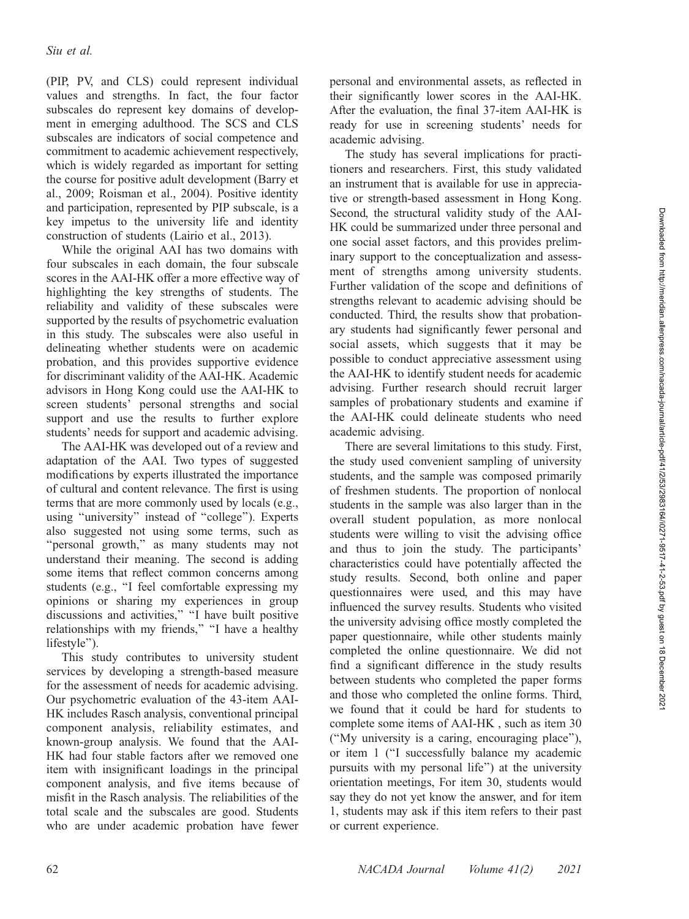(PIP, PV, and CLS) could represent individual values and strengths. In fact, the four factor subscales do represent key domains of development in emerging adulthood. The SCS and CLS subscales are indicators of social competence and commitment to academic achievement respectively, which is widely regarded as important for setting the course for positive adult development (Barry et al., 2009; Roisman et al., 2004). Positive identity and participation, represented by PIP subscale, is a key impetus to the university life and identity construction of students (Lairio et al., 2013).

While the original AAI has two domains with four subscales in each domain, the four subscale scores in the AAI-HK offer a more effective way of highlighting the key strengths of students. The reliability and validity of these subscales were supported by the results of psychometric evaluation in this study. The subscales were also useful in delineating whether students were on academic probation, and this provides supportive evidence for discriminant validity of the AAI-HK. Academic advisors in Hong Kong could use the AAI-HK to screen students' personal strengths and social support and use the results to further explore students' needs for support and academic advising.

The AAI-HK was developed out of a review and adaptation of the AAI. Two types of suggested modifications by experts illustrated the importance of cultural and content relevance. The first is using terms that are more commonly used by locals (e.g., using ''university'' instead of ''college''). Experts also suggested not using some terms, such as ''personal growth,'' as many students may not understand their meaning. The second is adding some items that reflect common concerns among students (e.g., ''I feel comfortable expressing my opinions or sharing my experiences in group discussions and activities," "I have built positive relationships with my friends,'' ''I have a healthy lifestyle'').

This study contributes to university student services by developing a strength-based measure for the assessment of needs for academic advising. Our psychometric evaluation of the 43-item AAI-HK includes Rasch analysis, conventional principal component analysis, reliability estimates, and known-group analysis. We found that the AAI-HK had four stable factors after we removed one item with insignificant loadings in the principal component analysis, and five items because of misfit in the Rasch analysis. The reliabilities of the total scale and the subscales are good. Students who are under academic probation have fewer

personal and environmental assets, as reflected in their significantly lower scores in the AAI-HK. After the evaluation, the final 37-item AAI-HK is ready for use in screening students' needs for academic advising.

The study has several implications for practitioners and researchers. First, this study validated an instrument that is available for use in appreciative or strength-based assessment in Hong Kong. Second, the structural validity study of the AAI-HK could be summarized under three personal and one social asset factors, and this provides preliminary support to the conceptualization and assessment of strengths among university students. Further validation of the scope and definitions of strengths relevant to academic advising should be conducted. Third, the results show that probationary students had significantly fewer personal and social assets, which suggests that it may be possible to conduct appreciative assessment using the AAI-HK to identify student needs for academic advising. Further research should recruit larger samples of probationary students and examine if the AAI-HK could delineate students who need academic advising.

There are several limitations to this study. First, the study used convenient sampling of university students, and the sample was composed primarily of freshmen students. The proportion of nonlocal students in the sample was also larger than in the overall student population, as more nonlocal students were willing to visit the advising office and thus to join the study. The participants' characteristics could have potentially affected the study results. Second, both online and paper questionnaires were used, and this may have influenced the survey results. Students who visited the university advising office mostly completed the paper questionnaire, while other students mainly completed the online questionnaire. We did not find a significant difference in the study results between students who completed the paper forms and those who completed the online forms. Third, we found that it could be hard for students to complete some items of AAI-HK , such as item 30 (''My university is a caring, encouraging place''), or item 1 (''I successfully balance my academic pursuits with my personal life'') at the university orientation meetings, For item 30, students would say they do not yet know the answer, and for item 1, students may ask if this item refers to their past or current experience.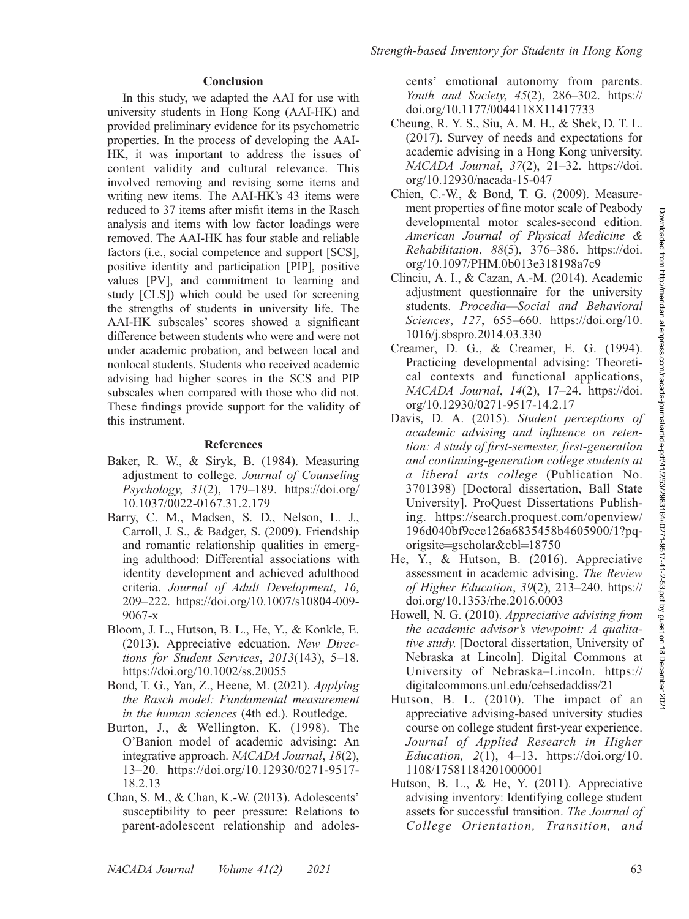#### Conclusion

In this study, we adapted the AAI for use with university students in Hong Kong (AAI-HK) and provided preliminary evidence for its psychometric properties. In the process of developing the AAI-HK, it was important to address the issues of content validity and cultural relevance. This involved removing and revising some items and writing new items. The AAI-HK's 43 items were reduced to 37 items after misfit items in the Rasch analysis and items with low factor loadings were removed. The AAI-HK has four stable and reliable factors (i.e., social competence and support [SCS], positive identity and participation [PIP], positive values [PV], and commitment to learning and study [CLS]) which could be used for screening the strengths of students in university life. The AAI-HK subscales' scores showed a significant difference between students who were and were not under academic probation, and between local and nonlocal students. Students who received academic advising had higher scores in the SCS and PIP subscales when compared with those who did not. These findings provide support for the validity of this instrument.

### References

- Baker, R. W., & Siryk, B. (1984). Measuring adjustment to college. Journal of Counseling Psychology, 31(2), 179–189. https://doi.org/ 10.1037/0022-0167.31.2.179
- Barry, C. M., Madsen, S. D., Nelson, L. J., Carroll, J. S., & Badger, S. (2009). Friendship and romantic relationship qualities in emerging adulthood: Differential associations with identity development and achieved adulthood criteria. Journal of Adult Development, 16, 209–222. https://doi.org/10.1007/s10804-009- 9067-x
- Bloom, J. L., Hutson, B. L., He, Y., & Konkle, E. (2013). Appreciative edcuation. New Directions for Student Services, 2013(143), 5–18. https://doi.org/10.1002/ss.20055
- Bond, T. G., Yan, Z., Heene, M. (2021). Applying the Rasch model: Fundamental measurement in the human sciences (4th ed.). Routledge.
- Burton, J., & Wellington, K. (1998). The O'Banion model of academic advising: An integrative approach. NACADA Journal, 18(2), 13–20. https://doi.org/10.12930/0271-9517- 18.2.13
- Chan, S. M., & Chan, K.-W. (2013). Adolescents' susceptibility to peer pressure: Relations to parent-adolescent relationship and adoles-

cents' emotional autonomy from parents. Youth and Society, 45(2), 286–302. https:// doi.org/10.1177/0044118X11417733

- Cheung, R. Y. S., Siu, A. M. H., & Shek, D. T. L. (2017). Survey of needs and expectations for academic advising in a Hong Kong university. NACADA Journal, 37(2), 21-32. https://doi. org/10.12930/nacada-15-047
- Chien, C.-W., & Bond, T. G. (2009). Measurement properties of fine motor scale of Peabody developmental motor scales-second edition. American Journal of Physical Medicine & Rehabilitation, 88(5), 376–386. https://doi. org/10.1097/PHM.0b013e318198a7c9
- Clinciu, A. I., & Cazan, A.-M. (2014). Academic adjustment questionnaire for the university students. Procedia—Social and Behavioral Sciences, 127, 655–660. https://doi.org/10. 1016/j.sbspro.2014.03.330
- Creamer, D. G., & Creamer, E. G. (1994). Practicing developmental advising: Theoretical contexts and functional applications, NACADA Journal, 14(2), 17-24. https://doi. org/10.12930/0271-9517-14.2.17
- Davis, D. A. (2015). Student perceptions of academic advising and influence on retention: A study of first-semester, first-generation and continuing-generation college students at a liberal arts college (Publication No. 3701398) [Doctoral dissertation, Ball State University]. ProQuest Dissertations Publishing. https://search.proquest.com/openview/ 196d040bf9cce126a6835458b4605900/1?pqorigsite=gscholar&cbl=18750
- He, Y., & Hutson, B. (2016). Appreciative assessment in academic advising. The Review of Higher Education, 39(2), 213–240. https:// doi.org/10.1353/rhe.2016.0003
- Howell, N. G. (2010). Appreciative advising from the academic advisor's viewpoint: A qualitative study. [Doctoral dissertation, University of Nebraska at Lincoln]. Digital Commons at University of Nebraska–Lincoln. https:// digitalcommons.unl.edu/cehsedaddiss/21
- Hutson, B. L. (2010). The impact of an appreciative advising-based university studies course on college student first-year experience. Journal of Applied Research in Higher Education,  $2(1)$ ,  $4-13$ . https://doi.org/10. 1108/17581184201000001
- Hutson, B. L., & He, Y. (2011). Appreciative advising inventory: Identifying college student assets for successful transition. The Journal of College Orientation, Transition, and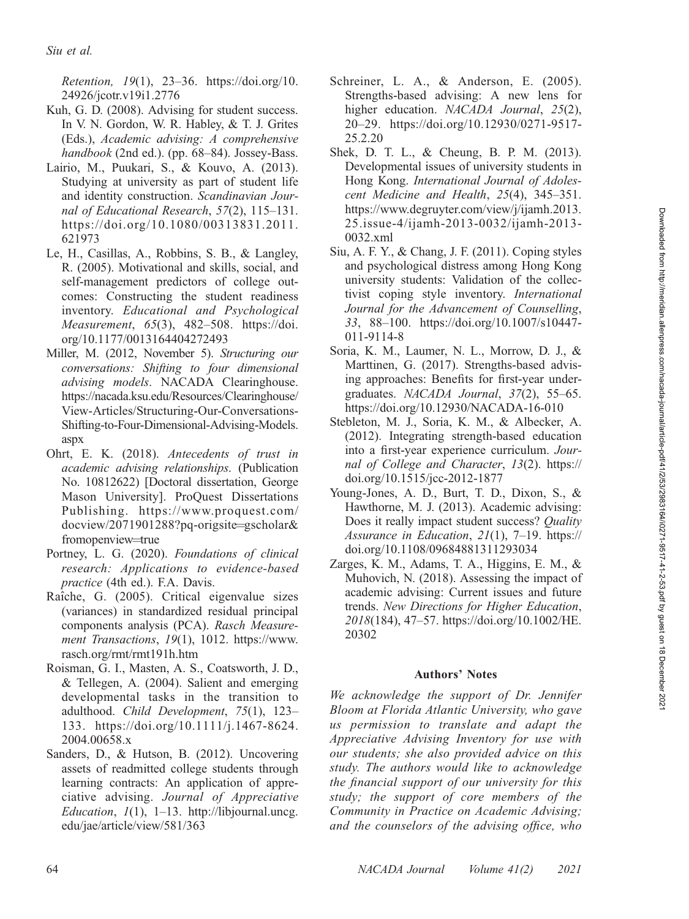Retention, 19(1), 23–36. https://doi.org/10. 24926/jcotr.v19i1.2776

- Kuh, G. D. (2008). Advising for student success. In V. N. Gordon, W. R. Habley, & T. J. Grites (Eds.), Academic advising: A comprehensive handbook (2nd ed.). (pp. 68–84). Jossey-Bass.
- Lairio, M., Puukari, S., & Kouvo, A. (2013). Studying at university as part of student life and identity construction. Scandinavian Journal of Educational Research, 57(2), 115–131. https://doi.org/10.1080/00313831.2011. 621973
- Le, H., Casillas, A., Robbins, S. B., & Langley, R. (2005). Motivational and skills, social, and self-management predictors of college outcomes: Constructing the student readiness inventory. Educational and Psychological Measurement, 65(3), 482–508. https://doi. org/10.1177/0013164404272493
- Miller, M. (2012, November 5). Structuring our conversations: Shifting to four dimensional advising models. NACADA Clearinghouse. https://nacada.ksu.edu/Resources/Clearinghouse/ View-Articles/Structuring-Our-Conversations-Shifting-to-Four-Dimensional-Advising-Models. aspx
- Ohrt, E. K. (2018). Antecedents of trust in academic advising relationships. (Publication No. 10812622) [Doctoral dissertation, George Mason University]. ProQuest Dissertations Publishing. https://www.proquest.com/ docview/2071901288?pq-origsite=gscholar& fromopenview=true
- Portney, L. G. (2020). Foundations of clinical research: Applications to evidence-based practice (4th ed.). F.A. Davis.
- Raîche, G. (2005). Critical eigenvalue sizes (variances) in standardized residual principal components analysis (PCA). Rasch Measurement Transactions, 19(1), 1012. https://www. rasch.org/rmt/rmt191h.htm
- Roisman, G. I., Masten, A. S., Coatsworth, J. D., & Tellegen, A. (2004). Salient and emerging developmental tasks in the transition to adulthood. Child Development, 75(1), 123-133. https://doi.org/10.1111/j.1467-8624. 2004.00658.x
- Sanders, D., & Hutson, B. (2012). Uncovering assets of readmitted college students through learning contracts: An application of appreciative advising. Journal of Appreciative Education,  $1(1)$ , 1–13. http://libjournal.uncg. edu/jae/article/view/581/363
- Schreiner, L. A., & Anderson, E. (2005). Strengths-based advising: A new lens for higher education. NACADA Journal, 25(2), 20–29. https://doi.org/10.12930/0271-9517- 25.2.20
- Shek, D. T. L., & Cheung, B. P. M. (2013). Developmental issues of university students in Hong Kong. International Journal of Adolescent Medicine and Health, 25(4), 345–351. https://www.degruyter.com/view/j/ijamh.2013. 25.issue-4/ijamh-2013-0032/ijamh-2013- 0032.xml
- Siu, A. F. Y., & Chang, J. F. (2011). Coping styles and psychological distress among Hong Kong university students: Validation of the collectivist coping style inventory. International Journal for the Advancement of Counselling, 33, 88–100. https://doi.org/10.1007/s10447- 011-9114-8
- Soria, K. M., Laumer, N. L., Morrow, D. J., & Marttinen, G. (2017). Strengths-based advising approaches: Benefits for first-year undergraduates. NACADA Journal, 37(2), 55–65. https://doi.org/10.12930/NACADA-16-010
- Stebleton, M. J., Soria, K. M., & Albecker, A. (2012). Integrating strength-based education into a first-year experience curriculum. Journal of College and Character, 13(2). https:// doi.org/10.1515/jcc-2012-1877
- Young-Jones, A. D., Burt, T. D., Dixon, S., & Hawthorne, M. J. (2013). Academic advising: Does it really impact student success? *Quality* Assurance in Education,  $2I(1)$ , 7–19. https:// doi.org/10.1108/09684881311293034
- Zarges, K. M., Adams, T. A., Higgins, E. M., & Muhovich, N. (2018). Assessing the impact of academic advising: Current issues and future trends. New Directions for Higher Education, 2018(184), 47–57. https://doi.org/10.1002/HE. 20302

### Authors' Notes

We acknowledge the support of Dr. Jennifer Bloom at Florida Atlantic University, who gave us permission to translate and adapt the Appreciative Advising Inventory for use with our students; she also provided advice on this study. The authors would like to acknowledge the financial support of our university for this study; the support of core members of the Community in Practice on Academic Advising; and the counselors of the advising office, who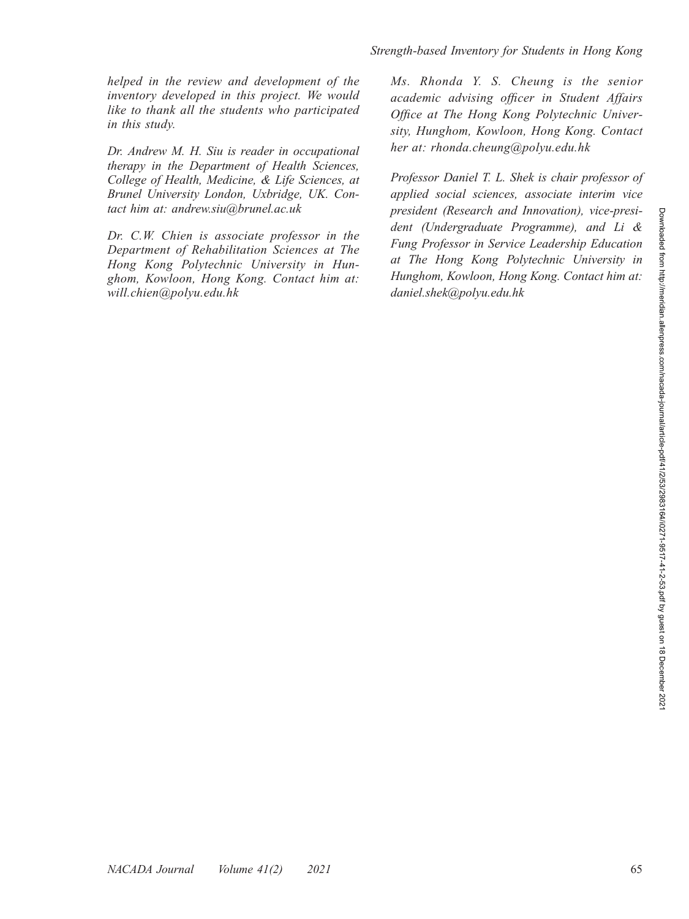helped in the review and development of the inventory developed in this project. We would like to thank all the students who participated in this study.

Dr. Andrew M. H. Siu is reader in occupational therapy in the Department of Health Sciences, College of Health, Medicine, & Life Sciences, at Brunel University London, Uxbridge, UK. Contact him at: andrew.siu@brunel.ac.uk

Dr. C.W. Chien is associate professor in the Department of Rehabilitation Sciences at The Hong Kong Polytechnic University in Hunghom, Kowloon, Hong Kong. Contact him at: will.chien@polyu.edu.hk

Ms. Rhonda Y. S. Cheung is the senior academic advising officer in Student Affairs Office at The Hong Kong Polytechnic University, Hunghom, Kowloon, Hong Kong. Contact her at: rhonda.cheung@polyu.edu.hk

Professor Daniel T. L. Shek is chair professor of applied social sciences, associate interim vice president (Research and Innovation), vice-president (Undergraduate Programme), and Li & Fung Professor in Service Leadership Education at The Hong Kong Polytechnic University in Hunghom, Kowloon, Hong Kong. Contact him at: daniel.shek@polyu.edu.hk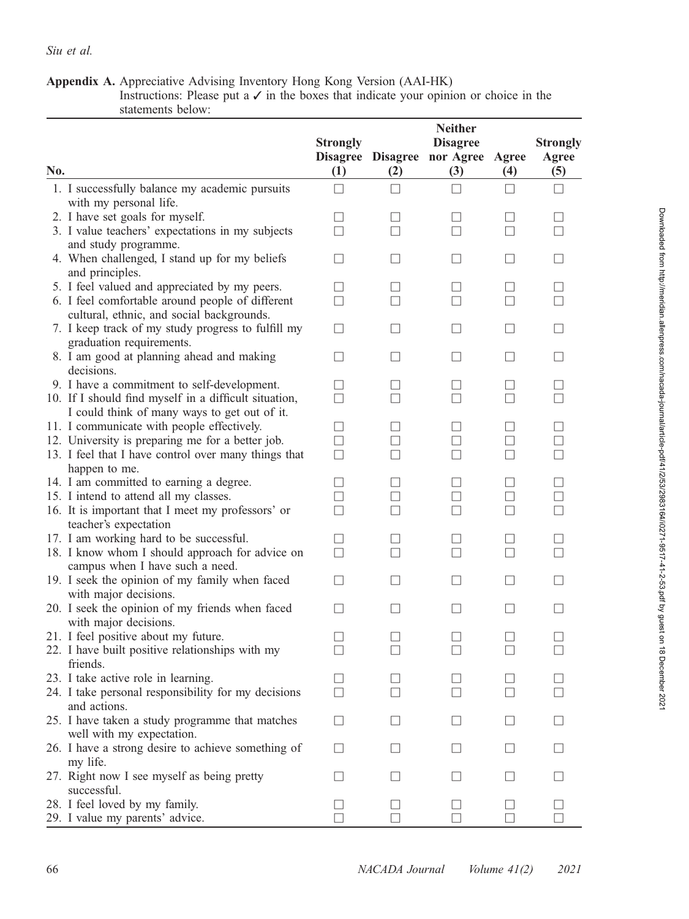Appendix A. Appreciative Advising Inventory Hong Kong Version (AAI-HK) Instructions: Please put a  $\checkmark$  in the boxes that indicate your opinion or choice in the statements below:

| No. |                                                                                                 | <b>Strongly</b><br>$\left(1\right)$ | Disagree Disagree<br>(2) | <b>Neither</b><br><b>Disagree</b><br>nor Agree Agree<br>(3) | (4)                      | <b>Strongly</b><br>Agree<br>(5) |
|-----|-------------------------------------------------------------------------------------------------|-------------------------------------|--------------------------|-------------------------------------------------------------|--------------------------|---------------------------------|
|     | 1. I successfully balance my academic pursuits                                                  | $\perp$                             | $\vert \ \ \vert$        | П                                                           |                          | $\perp$                         |
|     | with my personal life.                                                                          |                                     |                          |                                                             |                          |                                 |
|     | 2. I have set goals for myself.                                                                 | - 1                                 |                          | $\Box$                                                      |                          |                                 |
|     | 3. I value teachers' expectations in my subjects                                                | П                                   | П                        | П                                                           |                          |                                 |
|     | and study programme.                                                                            |                                     |                          |                                                             |                          |                                 |
|     | 4. When challenged, I stand up for my beliefs                                                   | $\mathsf{L}$                        | $\vert \ \ \vert$        | $\mathsf{L}$                                                | $\Box$                   |                                 |
|     | and principles.                                                                                 |                                     |                          |                                                             |                          |                                 |
|     | 5. I feel valued and appreciated by my peers.                                                   | $\mathsf{L}$                        | $\perp$                  | $\mathsf{L}$                                                | $\perp$                  | $\vert \ \ \vert$               |
|     | 6. I feel comfortable around people of different                                                | П                                   | $\vert \ \ \vert$        | $\mathsf{L}$                                                |                          |                                 |
|     | cultural, ethnic, and social backgrounds.<br>7. I keep track of my study progress to fulfill my |                                     | $\perp$                  | $\mathsf{L}$                                                | $\vert \ \ \vert$        | П                               |
|     | graduation requirements.                                                                        | Ш                                   |                          |                                                             |                          |                                 |
|     | 8. I am good at planning ahead and making                                                       | $\mathsf{L}$                        |                          | $\mathsf{L}$                                                |                          |                                 |
|     | decisions.                                                                                      |                                     |                          |                                                             |                          |                                 |
|     | 9. I have a commitment to self-development.                                                     | $\mathbf{I}$                        | $\Box$                   | $\mathsf{L}$                                                |                          |                                 |
|     | 10. If I should find myself in a difficult situation,                                           | П                                   | П                        | П                                                           |                          |                                 |
|     | I could think of many ways to get out of it.                                                    |                                     |                          |                                                             |                          |                                 |
|     | 11. I communicate with people effectively.                                                      | $\mathsf{L}$                        | $\perp$                  | $\mathsf{L}$                                                |                          |                                 |
|     | 12. University is preparing me for a better job.                                                | $\Box$                              | $\perp$                  | $\mathsf{L}$                                                | $\vert \ \ \vert$        |                                 |
|     | 13. I feel that I have control over many things that                                            | □                                   | $\vert \ \ \vert$        | П                                                           | $\vert \ \ \vert$        |                                 |
|     | happen to me.                                                                                   |                                     |                          |                                                             |                          |                                 |
|     | 14. I am committed to earning a degree.                                                         | □                                   | $\perp$                  | $\mathsf{L}$                                                | $\vert \ \ \vert$        |                                 |
|     | 15. I intend to attend all my classes.                                                          | П                                   | П                        | П                                                           | П                        | П                               |
|     | 16. It is important that I meet my professors' or                                               | П                                   |                          | П                                                           |                          |                                 |
|     | teacher's expectation                                                                           |                                     |                          |                                                             |                          |                                 |
|     | 17. I am working hard to be successful.                                                         | $\Box$                              | $\overline{\phantom{a}}$ | $\mathbf{1}$                                                |                          |                                 |
|     | 18. I know whom I should approach for advice on                                                 | П                                   | П                        | П                                                           |                          |                                 |
|     | campus when I have such a need.                                                                 |                                     |                          |                                                             |                          |                                 |
|     | 19. I seek the opinion of my family when faced                                                  | $\mathsf{L}$                        | $\vert \ \ \vert$        | $\mathsf{L}$                                                | $\Box$                   |                                 |
|     | with major decisions.                                                                           | П                                   | $\perp$                  | П                                                           | П                        | $\vert \ \ \vert$               |
|     | 20. I seek the opinion of my friends when faced<br>with major decisions.                        |                                     |                          |                                                             |                          |                                 |
|     | 21. I feel positive about my future.                                                            | ш                                   | $\perp$                  |                                                             |                          |                                 |
|     | 22. I have built positive relationships with my                                                 | $\mathsf{L}$                        | П                        | П                                                           | П                        |                                 |
|     | friends.                                                                                        |                                     |                          |                                                             |                          |                                 |
|     | 23. I take active role in learning.                                                             | $\mathsf{L}$                        |                          |                                                             |                          |                                 |
|     | 24. I take personal responsibility for my decisions                                             |                                     |                          |                                                             |                          |                                 |
|     | and actions.                                                                                    |                                     |                          |                                                             |                          |                                 |
|     | 25. I have taken a study programme that matches                                                 | $\mathsf{L}$                        |                          |                                                             |                          |                                 |
|     | well with my expectation.                                                                       |                                     |                          |                                                             |                          |                                 |
|     | 26. I have a strong desire to achieve something of<br>my life.                                  | П                                   | $\perp$                  | ш                                                           | $\perp$                  | $\perp$                         |
|     | 27. Right now I see myself as being pretty                                                      | $\mathsf{L}$                        | $\Box$                   | $\mathsf{L}$                                                | $\vert \ \ \vert$        | $\perp$                         |
|     | successful.<br>28. I feel loved by my family.                                                   | $\Box$                              | $\perp$                  | $\mathsf{L}$                                                |                          |                                 |
|     | 29. I value my parents' advice.                                                                 | $\mathbf{L}$                        | $\overline{\phantom{a}}$ | $\mathsf{L}$                                                | $\overline{\phantom{0}}$ |                                 |
|     |                                                                                                 |                                     |                          |                                                             |                          |                                 |